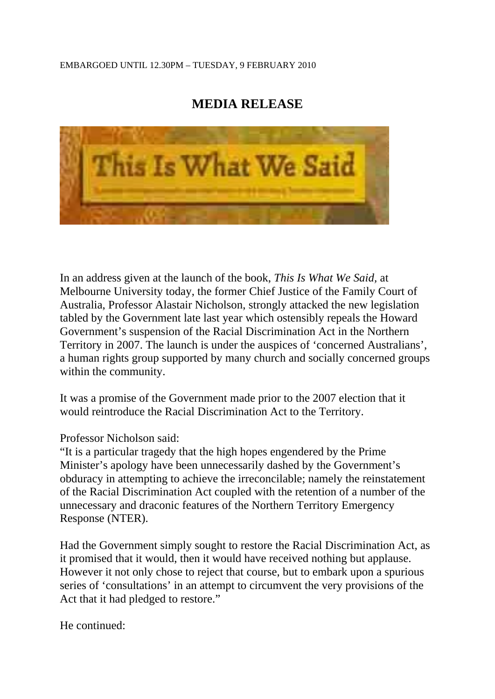## EMBARGOED UNTIL 12.30PM – TUESDAY, 9 FEBRUARY 2010

## **MEDIA RELEASE**



In an address given at the launch of the book, *This Is What We Said,* at Melbourne University today, the former Chief Justice of the Family Court of Australia, Professor Alastair Nicholson, strongly attacked the new legislation tabled by the Government late last year which ostensibly repeals the Howard Government's suspension of the Racial Discrimination Act in the Northern Territory in 2007. The launch is under the auspices of 'concerned Australians', a human rights group supported by many church and socially concerned groups within the community.

It was a promise of the Government made prior to the 2007 election that it would reintroduce the Racial Discrimination Act to the Territory.

Professor Nicholson said:

"It is a particular tragedy that the high hopes engendered by the Prime Minister's apology have been unnecessarily dashed by the Government's obduracy in attempting to achieve the irreconcilable; namely the reinstatement of the Racial Discrimination Act coupled with the retention of a number of the unnecessary and draconic features of the Northern Territory Emergency Response (NTER).

Had the Government simply sought to restore the Racial Discrimination Act, as it promised that it would, then it would have received nothing but applause. However it not only chose to reject that course, but to embark upon a spurious series of 'consultations' in an attempt to circumvent the very provisions of the Act that it had pledged to restore."

He continued: